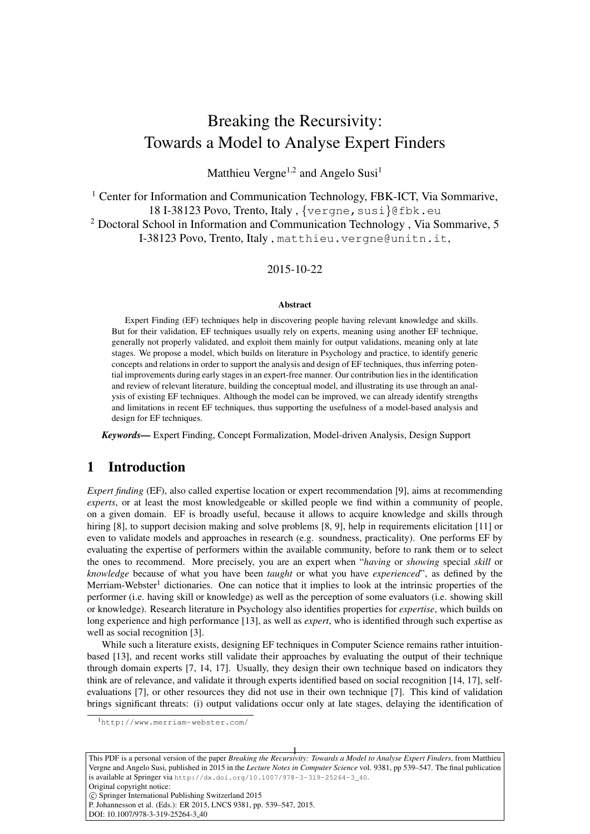# Breaking the Recursivity: Towards a Model to Analyse Expert Finders

Matthieu Vergne<sup>1,2</sup> and Angelo Susi<sup>1</sup>

<sup>1</sup> Center for Information and Communication Technology, FBK-ICT, Via Sommarive, 18 I-38123 Povo, Trento, Italy, {vergne, susi}@fbk.eu <sup>2</sup> Doctoral School in Information and Communication Technology , Via Sommarive, 5 I-38123 Povo, Trento, Italy , [matthieu.vergne@unitn.it](mailto:matthieu.vergne@unitn.it),

#### 2015-10-22

#### Abstract

Expert Finding (EF) techniques help in discovering people having relevant knowledge and skills. But for their validation, EF techniques usually rely on experts, meaning using another EF technique, generally not properly validated, and exploit them mainly for output validations, meaning only at late stages. We propose a model, which builds on literature in Psychology and practice, to identify generic concepts and relations in order to support the analysis and design of EF techniques, thus inferring potential improvements during early stages in an expert-free manner. Our contribution lies in the identification and review of relevant literature, building the conceptual model, and illustrating its use through an analysis of existing EF techniques. Although the model can be improved, we can already identify strengths and limitations in recent EF techniques, thus supporting the usefulness of a model-based analysis and design for EF techniques.

*Keywords—* Expert Finding, Concept Formalization, Model-driven Analysis, Design Support

# 1 Introduction

*Expert finding* (EF), also called expertise location or expert recommendation [\[9\]](#page-5-0), aims at recommending *experts*, or at least the most knowledgeable or skilled people we find within a community of people, on a given domain. EF is broadly useful, because it allows to acquire knowledge and skills through hiring [\[8\]](#page-5-1), to support decision making and solve problems [\[8,](#page-5-1) [9\]](#page-5-0), help in requirements elicitation [\[11\]](#page-5-2) or even to validate models and approaches in research (e.g. soundness, practicality). One performs EF by evaluating the expertise of performers within the available community, before to rank them or to select the ones to recommend. More precisely, you are an expert when "*having* or *showing* special *skill* or *knowledge* because of what you have been *taught* or what you have *experienced*", as defined by the Merriam-Webster<sup>[1](#page-0-0)</sup> dictionaries. One can notice that it implies to look at the intrinsic properties of the performer (i.e. having skill or knowledge) as well as the perception of some evaluators (i.e. showing skill or knowledge). Research literature in Psychology also identifies properties for *expertise*, which builds on long experience and high performance [\[13\]](#page-6-0), as well as *expert*, who is identified through such expertise as well as social recognition [\[3\]](#page-5-3).

While such a literature exists, designing EF techniques in Computer Science remains rather intuitionbased [\[13\]](#page-6-0), and recent works still validate their approaches by evaluating the output of their technique through domain experts [\[7,](#page-5-4) [14,](#page-6-1) [17\]](#page-6-2). Usually, they design their own technique based on indicators they think are of relevance, and validate it through experts identified based on social recognition [\[14,](#page-6-1) [17\]](#page-6-2), selfevaluations [\[7\]](#page-5-4), or other resources they did not use in their own technique [\[7\]](#page-5-4). This kind of validation brings significant threats: (i) output validations occur only at late stages, delaying the identification of

This PDF is a personal version of the paper *Breaking the Recursivity: Towards a Model to Analyse Expert Finders*, from Matthieu 1Vergne and Angelo Susi, published in 2015 in the *Lecture Notes in Computer Science* vol. 9381, pp 539–547. The final publication is available at Springer via [http://dx.doi.org/10.1007/978-3-319-25264-3\\_40](http://dx.doi.org/10.1007/978-3-319-25264-3_40). Original copyright notice: c Springer International Publishing Switzerland 2015 P. Johannesson et al. (Eds.): ER 2015, LNCS 9381, pp. 539–547, 2015.

DOI: 10.1007/978-3-319-25264-3 40

<span id="page-0-0"></span><sup>1</sup><http://www.merriam-webster.com/>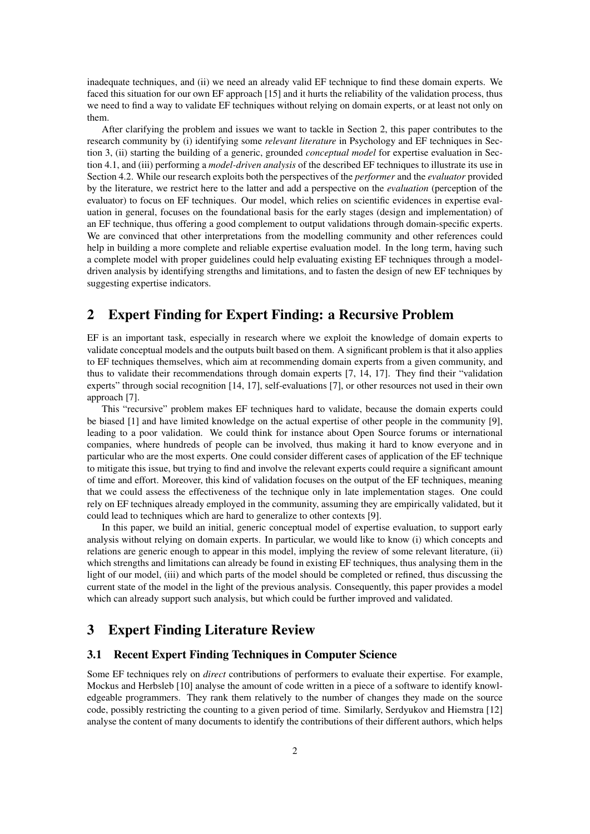inadequate techniques, and (ii) we need an already valid EF technique to find these domain experts. We faced this situation for our own EF approach [\[15\]](#page-6-3) and it hurts the reliability of the validation process, thus we need to find a way to validate EF techniques without relying on domain experts, or at least not only on them.

After clarifying the problem and issues we want to tackle in Section [2,](#page-1-0) this paper contributes to the research community by (i) identifying some *relevant literature* in Psychology and EF techniques in Section [3,](#page-1-1) (ii) starting the building of a generic, grounded *conceptual model* for expertise evaluation in Section [4.1,](#page-3-0) and (iii) performing a *model-driven analysis* of the described EF techniques to illustrate its use in Section [4.2.](#page-3-1) While our research exploits both the perspectives of the *performer* and the *evaluator* provided by the literature, we restrict here to the latter and add a perspective on the *evaluation* (perception of the evaluator) to focus on EF techniques. Our model, which relies on scientific evidences in expertise evaluation in general, focuses on the foundational basis for the early stages (design and implementation) of an EF technique, thus offering a good complement to output validations through domain-specific experts. We are convinced that other interpretations from the modelling community and other references could help in building a more complete and reliable expertise evaluation model. In the long term, having such a complete model with proper guidelines could help evaluating existing EF techniques through a modeldriven analysis by identifying strengths and limitations, and to fasten the design of new EF techniques by suggesting expertise indicators.

# <span id="page-1-0"></span>2 Expert Finding for Expert Finding: a Recursive Problem

EF is an important task, especially in research where we exploit the knowledge of domain experts to validate conceptual models and the outputs built based on them. A significant problem is that it also applies to EF techniques themselves, which aim at recommending domain experts from a given community, and thus to validate their recommendations through domain experts [\[7,](#page-5-4) [14,](#page-6-1) [17\]](#page-6-2). They find their "validation experts" through social recognition [\[14,](#page-6-1) [17\]](#page-6-2), self-evaluations [\[7\]](#page-5-4), or other resources not used in their own approach [\[7\]](#page-5-4).

This "recursive" problem makes EF techniques hard to validate, because the domain experts could be biased [\[1\]](#page-5-5) and have limited knowledge on the actual expertise of other people in the community [\[9\]](#page-5-0), leading to a poor validation. We could think for instance about Open Source forums or international companies, where hundreds of people can be involved, thus making it hard to know everyone and in particular who are the most experts. One could consider different cases of application of the EF technique to mitigate this issue, but trying to find and involve the relevant experts could require a significant amount of time and effort. Moreover, this kind of validation focuses on the output of the EF techniques, meaning that we could assess the effectiveness of the technique only in late implementation stages. One could rely on EF techniques already employed in the community, assuming they are empirically validated, but it could lead to techniques which are hard to generalize to other contexts [\[9\]](#page-5-0).

In this paper, we build an initial, generic conceptual model of expertise evaluation, to support early analysis without relying on domain experts. In particular, we would like to know (i) which concepts and relations are generic enough to appear in this model, implying the review of some relevant literature, (ii) which strengths and limitations can already be found in existing EF techniques, thus analysing them in the light of our model, (iii) and which parts of the model should be completed or refined, thus discussing the current state of the model in the light of the previous analysis. Consequently, this paper provides a model which can already support such analysis, but which could be further improved and validated.

# <span id="page-1-1"></span>3 Expert Finding Literature Review

#### <span id="page-1-2"></span>3.1 Recent Expert Finding Techniques in Computer Science

Some EF techniques rely on *direct* contributions of performers to evaluate their expertise. For example, Mockus and Herbsleb [\[10\]](#page-5-6) analyse the amount of code written in a piece of a software to identify knowledgeable programmers. They rank them relatively to the number of changes they made on the source code, possibly restricting the counting to a given period of time. Similarly, Serdyukov and Hiemstra [\[12\]](#page-6-4) analyse the content of many documents to identify the contributions of their different authors, which helps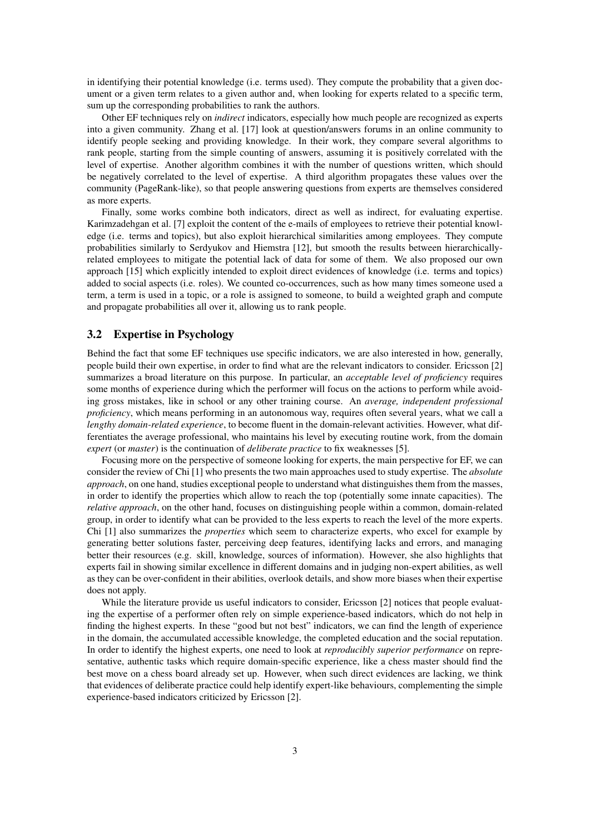in identifying their potential knowledge (i.e. terms used). They compute the probability that a given document or a given term relates to a given author and, when looking for experts related to a specific term, sum up the corresponding probabilities to rank the authors.

Other EF techniques rely on *indirect* indicators, especially how much people are recognized as experts into a given community. Zhang et al. [\[17\]](#page-6-2) look at question/answers forums in an online community to identify people seeking and providing knowledge. In their work, they compare several algorithms to rank people, starting from the simple counting of answers, assuming it is positively correlated with the level of expertise. Another algorithm combines it with the number of questions written, which should be negatively correlated to the level of expertise. A third algorithm propagates these values over the community (PageRank-like), so that people answering questions from experts are themselves considered as more experts.

Finally, some works combine both indicators, direct as well as indirect, for evaluating expertise. Karimzadehgan et al. [\[7\]](#page-5-4) exploit the content of the e-mails of employees to retrieve their potential knowledge (i.e. terms and topics), but also exploit hierarchical similarities among employees. They compute probabilities similarly to Serdyukov and Hiemstra [\[12\]](#page-6-4), but smooth the results between hierarchicallyrelated employees to mitigate the potential lack of data for some of them. We also proposed our own approach [\[15\]](#page-6-3) which explicitly intended to exploit direct evidences of knowledge (i.e. terms and topics) added to social aspects (i.e. roles). We counted co-occurrences, such as how many times someone used a term, a term is used in a topic, or a role is assigned to someone, to build a weighted graph and compute and propagate probabilities all over it, allowing us to rank people.

## 3.2 Expertise in Psychology

Behind the fact that some EF techniques use specific indicators, we are also interested in how, generally, people build their own expertise, in order to find what are the relevant indicators to consider. Ericsson [\[2\]](#page-5-7) summarizes a broad literature on this purpose. In particular, an *acceptable level of proficiency* requires some months of experience during which the performer will focus on the actions to perform while avoiding gross mistakes, like in school or any other training course. An *average, independent professional proficiency*, which means performing in an autonomous way, requires often several years, what we call a *lengthy domain-related experience*, to become fluent in the domain-relevant activities. However, what differentiates the average professional, who maintains his level by executing routine work, from the domain *expert* (or *master*) is the continuation of *deliberate practice* to fix weaknesses [\[5\]](#page-5-8).

Focusing more on the perspective of someone looking for experts, the main perspective for EF, we can consider the review of Chi [\[1\]](#page-5-5) who presents the two main approaches used to study expertise. The *absolute approach*, on one hand, studies exceptional people to understand what distinguishes them from the masses, in order to identify the properties which allow to reach the top (potentially some innate capacities). The *relative approach*, on the other hand, focuses on distinguishing people within a common, domain-related group, in order to identify what can be provided to the less experts to reach the level of the more experts. Chi [\[1\]](#page-5-5) also summarizes the *properties* which seem to characterize experts, who excel for example by generating better solutions faster, perceiving deep features, identifying lacks and errors, and managing better their resources (e.g. skill, knowledge, sources of information). However, she also highlights that experts fail in showing similar excellence in different domains and in judging non-expert abilities, as well as they can be over-confident in their abilities, overlook details, and show more biases when their expertise does not apply.

While the literature provide us useful indicators to consider. Ericsson [\[2\]](#page-5-7) notices that people evaluating the expertise of a performer often rely on simple experience-based indicators, which do not help in finding the highest experts. In these "good but not best" indicators, we can find the length of experience in the domain, the accumulated accessible knowledge, the completed education and the social reputation. In order to identify the highest experts, one need to look at *reproducibly superior performance* on representative, authentic tasks which require domain-specific experience, like a chess master should find the best move on a chess board already set up. However, when such direct evidences are lacking, we think that evidences of deliberate practice could help identify expert-like behaviours, complementing the simple experience-based indicators criticized by Ericsson [\[2\]](#page-5-7).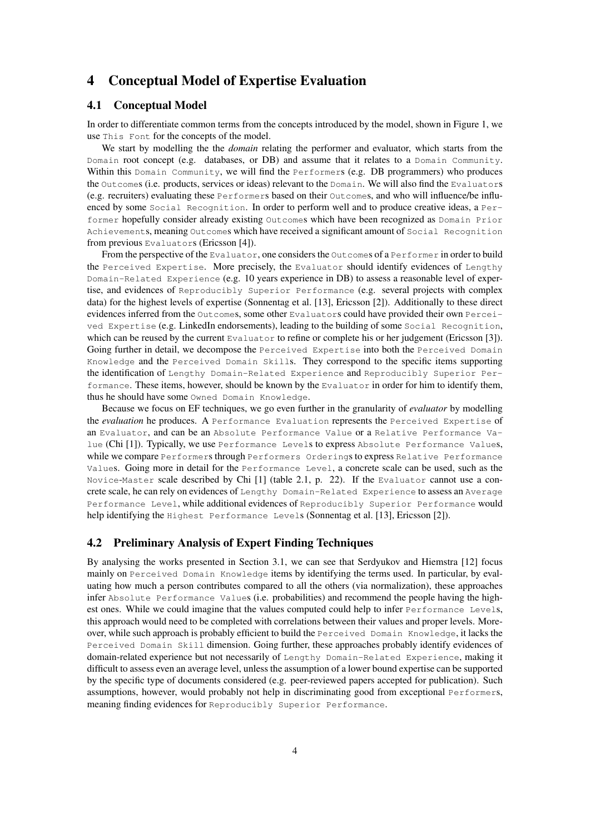# 4 Conceptual Model of Expertise Evaluation

#### <span id="page-3-0"></span>4.1 Conceptual Model

In order to differentiate common terms from the concepts introduced by the model, shown in Figure [1,](#page-4-0) we use This Font for the concepts of the model.

We start by modelling the the *domain* relating the performer and evaluator, which starts from the Domain root concept (e.g. databases, or DB) and assume that it relates to a Domain Community. Within this Domain Community, we will find the Performers (e.g. DB programmers) who produces the Outcomes (i.e. products, services or ideas) relevant to the Domain. We will also find the Evaluators (e.g. recruiters) evaluating these Performers based on their Outcomes, and who will influence/be influenced by some Social Recognition. In order to perform well and to produce creative ideas, a Performer hopefully consider already existing Outcomes which have been recognized as Domain Prior Achievements, meaning Outcomes which have received a significant amount of Social Recognition from previous Evaluators (Ericsson [\[4\]](#page-5-9)).

From the perspective of the Evaluator, one considers the Outcomes of a Performer in order to build the Perceived Expertise. More precisely, the Evaluator should identify evidences of Lengthy Domain-Related Experience (e.g. 10 years experience in DB) to assess a reasonable level of expertise, and evidences of Reproducibly Superior Performance (e.g. several projects with complex data) for the highest levels of expertise (Sonnentag et al. [\[13\]](#page-6-0), Ericsson [\[2\]](#page-5-7)). Additionally to these direct evidences inferred from the Outcomes, some other Evaluators could have provided their own Perceived Expertise (e.g. LinkedIn endorsements), leading to the building of some Social Recognition, which can be reused by the current Evaluator to refine or complete his or her judgement (Ericsson [\[3\]](#page-5-3)). Going further in detail, we decompose the Perceived Expertise into both the Perceived Domain Knowledge and the Perceived Domain Skills. They correspond to the specific items supporting the identification of Lengthy Domain-Related Experience and Reproducibly Superior Performance. These items, however, should be known by the Evaluator in order for him to identify them, thus he should have some Owned Domain Knowledge.

Because we focus on EF techniques, we go even further in the granularity of *evaluator* by modelling the *evaluation* he produces. A Performance Evaluation represents the Perceived Expertise of an Evaluator, and can be an Absolute Performance Value or a Relative Performance Value (Chi [\[1\]](#page-5-5)). Typically, we use Performance Levels to express Absolute Performance Values, while we compare Performers through Performers Orderings to express Relative Performance Values. Going more in detail for the Performance Level, a concrete scale can be used, such as the Novice-Master scale described by Chi [\[1\]](#page-5-5) (table 2.1, p. 22). If the Evaluator cannot use a concrete scale, he can rely on evidences of Lengthy Domain-Related Experience to assess an Average Performance Level, while additional evidences of Reproducibly Superior Performance would help identifying the Highest Performance Levels (Sonnentag et al. [\[13\]](#page-6-0), Ericsson [\[2\]](#page-5-7)).

#### <span id="page-3-1"></span>4.2 Preliminary Analysis of Expert Finding Techniques

By analysing the works presented in Section [3.1,](#page-1-2) we can see that Serdyukov and Hiemstra [\[12\]](#page-6-4) focus mainly on Perceived Domain Knowledge items by identifying the terms used. In particular, by evaluating how much a person contributes compared to all the others (via normalization), these approaches infer Absolute Performance Values (i.e. probabilities) and recommend the people having the highest ones. While we could imagine that the values computed could help to infer Performance Levels, this approach would need to be completed with correlations between their values and proper levels. Moreover, while such approach is probably efficient to build the Perceived Domain Knowledge, it lacks the Perceived Domain Skill dimension. Going further, these approaches probably identify evidences of domain-related experience but not necessarily of Lengthy Domain-Related Experience, making it difficult to assess even an average level, unless the assumption of a lower bound expertise can be supported by the specific type of documents considered (e.g. peer-reviewed papers accepted for publication). Such assumptions, however, would probably not help in discriminating good from exceptional Performers, meaning finding evidences for Reproducibly Superior Performance.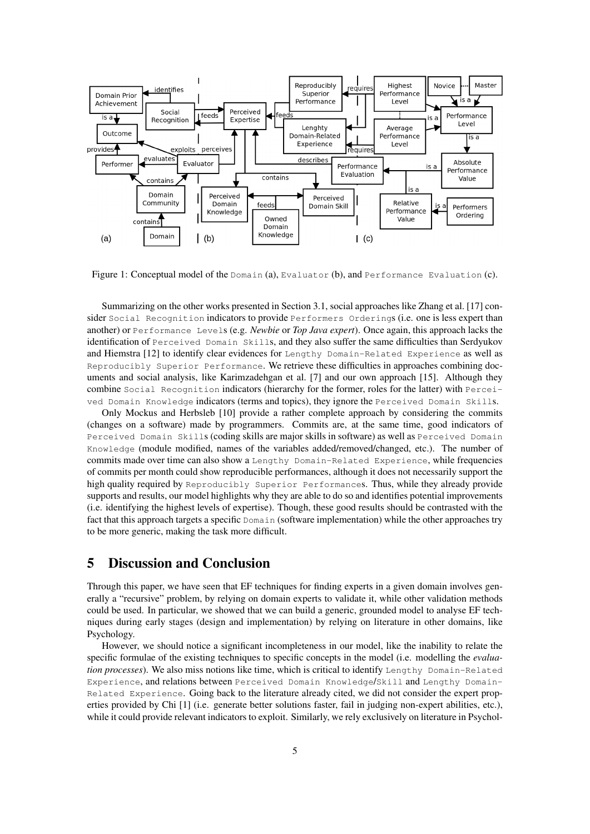

<span id="page-4-0"></span>Figure 1: Conceptual model of the Domain (a), Evaluator (b), and Performance Evaluation (c).

Summarizing on the other works presented in Section [3.1,](#page-1-2) social approaches like Zhang et al. [\[17\]](#page-6-2) consider Social Recognition indicators to provide Performers Orderings (i.e. one is less expert than another) or Performance Levels (e.g. *Newbie* or *Top Java expert*). Once again, this approach lacks the identification of Perceived Domain Skills, and they also suffer the same difficulties than Serdyukov and Hiemstra [\[12\]](#page-6-4) to identify clear evidences for Lengthy Domain-Related Experience as well as Reproducibly Superior Performance. We retrieve these difficulties in approaches combining documents and social analysis, like Karimzadehgan et al. [\[7\]](#page-5-4) and our own approach [\[15\]](#page-6-3). Although they combine Social Recognition indicators (hierarchy for the former, roles for the latter) with Perceived Domain Knowledge indicators (terms and topics), they ignore the Perceived Domain Skills.

Only Mockus and Herbsleb [\[10\]](#page-5-6) provide a rather complete approach by considering the commits (changes on a software) made by programmers. Commits are, at the same time, good indicators of Perceived Domain Skills (coding skills are major skills in software) as well as Perceived Domain Knowledge (module modified, names of the variables added/removed/changed, etc.). The number of commits made over time can also show a Lengthy Domain-Related Experience, while frequencies of commits per month could show reproducible performances, although it does not necessarily support the high quality required by Reproducibly Superior Performances. Thus, while they already provide supports and results, our model highlights why they are able to do so and identifies potential improvements (i.e. identifying the highest levels of expertise). Though, these good results should be contrasted with the fact that this approach targets a specific Domain (software implementation) while the other approaches try to be more generic, making the task more difficult.

# 5 Discussion and Conclusion

Through this paper, we have seen that EF techniques for finding experts in a given domain involves generally a "recursive" problem, by relying on domain experts to validate it, while other validation methods could be used. In particular, we showed that we can build a generic, grounded model to analyse EF techniques during early stages (design and implementation) by relying on literature in other domains, like Psychology.

However, we should notice a significant incompleteness in our model, like the inability to relate the specific formulae of the existing techniques to specific concepts in the model (i.e. modelling the *evaluation processes*). We also miss notions like time, which is critical to identify Lengthy Domain-Related Experience, and relations between Perceived Domain Knowledge/Skill and Lengthy Domain-Related Experience. Going back to the literature already cited, we did not consider the expert properties provided by Chi [\[1\]](#page-5-5) (i.e. generate better solutions faster, fail in judging non-expert abilities, etc.), while it could provide relevant indicators to exploit. Similarly, we rely exclusively on literature in Psychol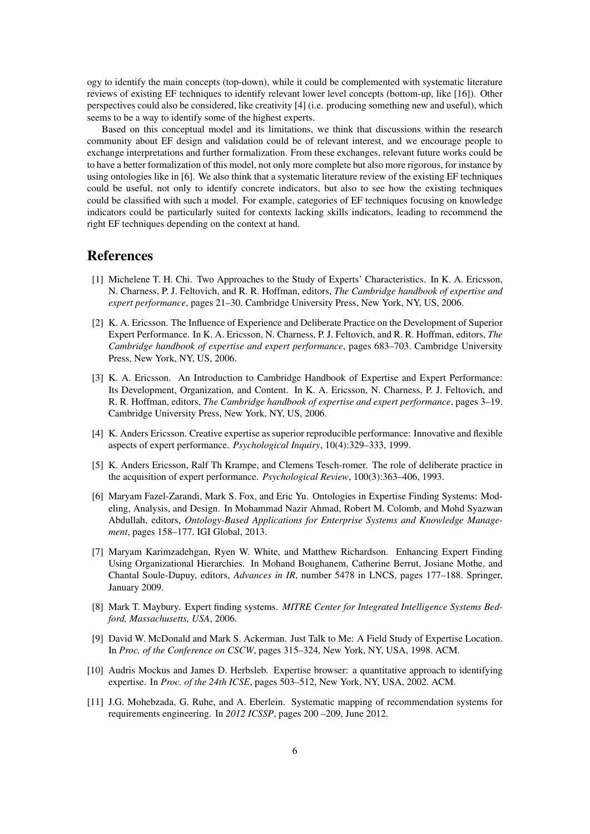ogy to identify the main concepts (top-down), while it could be complemented with systematic literature reviews of existing EF techniques to identify relevant lower level concepts (bottom-up, like [\[16\]](#page-6-5)). Other perspectives could also be considered, like creativity [\[4\]](#page-5-9) (i.e. producing something new and useful), which seems to be a way to identify some of the highest experts.

Based on this conceptual model and its limitations, we think that discussions within the research community about EF design and validation could be of relevant interest, and we encourage people to exchange interpretations and further formalization. From these exchanges, relevant future works could be to have a better formalization of this model, not only more complete but also more rigorous, for instance by using ontologies like in [\[6\]](#page-5-10). We also think that a systematic literature review of the existing EF techniques could be useful, not only to identify concrete indicators, but also to see how the existing techniques could be classified with such a model. For example, categories of EF techniques focusing on knowledge indicators could be particularly suited for contexts lacking skills indicators, leading to recommend the right EF techniques depending on the context at hand.

#### References

- <span id="page-5-5"></span>[1] Michelene T. H. Chi. Two Approaches to the Study of Experts' Characteristics. In K. A. Ericsson, N. Charness, P. J. Feltovich, and R. R. Hoffman, editors, *The Cambridge handbook of expertise and expert performance*, pages 21–30. Cambridge University Press, New York, NY, US, 2006.
- <span id="page-5-7"></span>[2] K. A. Ericsson. The Influence of Experience and Deliberate Practice on the Development of Superior Expert Performance. In K. A. Ericsson, N. Charness, P. J. Feltovich, and R. R. Hoffman, editors, *The Cambridge handbook of expertise and expert performance*, pages 683–703. Cambridge University Press, New York, NY, US, 2006.
- <span id="page-5-3"></span>[3] K. A. Ericsson. An Introduction to Cambridge Handbook of Expertise and Expert Performance: Its Development, Organization, and Content. In K. A. Ericsson, N. Charness, P. J. Feltovich, and R. R. Hoffman, editors, *The Cambridge handbook of expertise and expert performance*, pages 3–19. Cambridge University Press, New York, NY, US, 2006.
- <span id="page-5-9"></span>[4] K. Anders Ericsson. Creative expertise as superior reproducible performance: Innovative and flexible aspects of expert performance. *Psychological Inquiry*, 10(4):329–333, 1999.
- <span id="page-5-8"></span>[5] K. Anders Ericsson, Ralf Th Krampe, and Clemens Tesch-romer. The role of deliberate practice in the acquisition of expert performance. *Psychological Review*, 100(3):363–406, 1993.
- <span id="page-5-10"></span>[6] Maryam Fazel-Zarandi, Mark S. Fox, and Eric Yu. Ontologies in Expertise Finding Systems: Modeling, Analysis, and Design. In Mohammad Nazir Ahmad, Robert M. Colomb, and Mohd Syazwan Abdullah, editors, *Ontology-Based Applications for Enterprise Systems and Knowledge Management*, pages 158–177. IGI Global, 2013.
- <span id="page-5-4"></span>[7] Maryam Karimzadehgan, Ryen W. White, and Matthew Richardson. Enhancing Expert Finding Using Organizational Hierarchies. In Mohand Boughanem, Catherine Berrut, Josiane Mothe, and Chantal Soule-Dupuy, editors, *Advances in IR*, number 5478 in LNCS, pages 177–188. Springer, January 2009.
- <span id="page-5-1"></span>[8] Mark T. Maybury. Expert finding systems. *MITRE Center for Integrated Intelligence Systems Bedford, Massachusetts, USA*, 2006.
- <span id="page-5-0"></span>[9] David W. McDonald and Mark S. Ackerman. Just Talk to Me: A Field Study of Expertise Location. In *Proc. of the Conference on CSCW*, pages 315–324, New York, NY, USA, 1998. ACM.
- <span id="page-5-6"></span>[10] Audris Mockus and James D. Herbsleb. Expertise browser: a quantitative approach to identifying expertise. In *Proc. of the 24th ICSE*, pages 503–512, New York, NY, USA, 2002. ACM.
- <span id="page-5-2"></span>[11] J.G. Mohebzada, G. Ruhe, and A. Eberlein. Systematic mapping of recommendation systems for requirements engineering. In *2012 ICSSP*, pages 200 –209, June 2012.